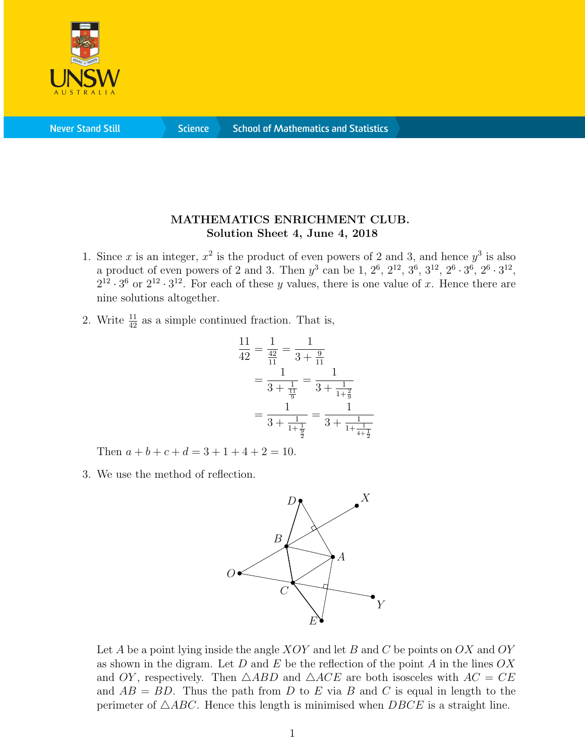

**Never Stand Still** 

**Science** 

## MATHEMATICS ENRICHMENT CLUB. Solution Sheet 4, June 4, 2018

- 1. Since x is an integer,  $x^2$  is the product of even powers of 2 and 3, and hence  $y^3$  is also a product of even powers of 2 and 3. Then  $y^3$  can be 1,  $2^6$ ,  $2^{12}$ ,  $3^6$ ,  $3^{12}$ ,  $2^6 \cdot 3^6$ ,  $2^6 \cdot 3^{12}$ ,  $2^{12} \cdot 3^6$  or  $2^{12} \cdot 3^{12}$ . For each of these y values, there is one value of x. Hence there are nine solutions altogether.
- 2. Write  $\frac{11}{42}$  as a simple continued fraction. That is,

$$
\frac{11}{42} = \frac{1}{\frac{42}{11}} = \frac{1}{3 + \frac{9}{11}}
$$

$$
= \frac{1}{3 + \frac{1}{\frac{11}{9}}} = \frac{1}{3 + \frac{1}{1 + \frac{2}{9}}}
$$

$$
= \frac{1}{3 + \frac{1}{1 + \frac{1}{\frac{9}{2}}}} = \frac{1}{3 + \frac{1}{1 + \frac{1}{4 + \frac{1}{2}}}}
$$

Then  $a + b + c + d = 3 + 1 + 4 + 2 = 10$ .

3. We use the method of reflection.



Let A be a point lying inside the angle  $XOY$  and let B and C be points on  $OX$  and  $OY$ as shown in the digram. Let D and E be the reflection of the point A in the lines  $OX$ and OY, respectively. Then  $\triangle ABD$  and  $\triangle ACE$  are both isosceles with  $AC = CE$ and  $AB = BD$ . Thus the path from D to E via B and C is equal in length to the perimeter of  $\triangle ABC$ . Hence this length is minimised when  $DBCE$  is a straight line.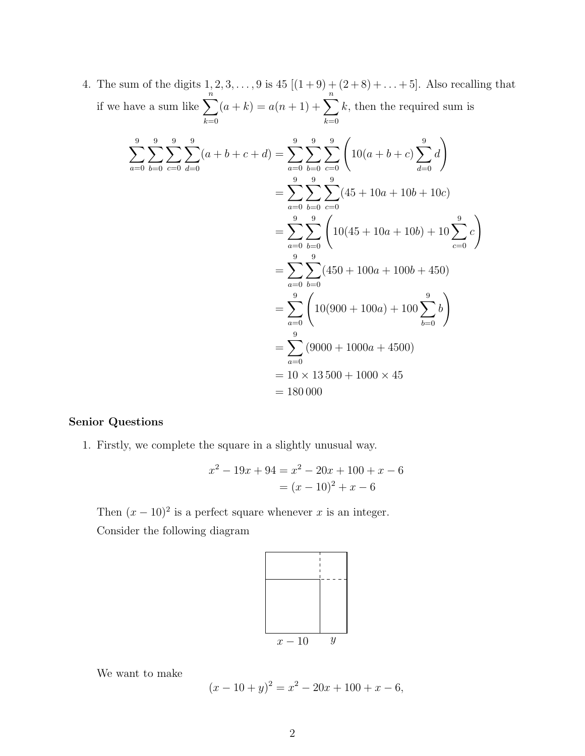4. The sum of the digits  $1, 2, 3, ..., 9$  is  $45 [(1+9) + (2+8) + ... + 5]$ . Also recalling that if we have a sum like  $\sum_{n=1}^n$  $_{k=0}$  $(a + k) = a(n + 1) + \sum_{n=1}^{n}$  $_{k=0}$ k, then the required sum is

$$
\sum_{a=0}^{9} \sum_{b=0}^{9} \sum_{c=0}^{9} \frac{1}{d=0} (a+b+c+d) = \sum_{a=0}^{9} \sum_{b=0}^{9} \sum_{c=0}^{9} \left( 10(a+b+c) \sum_{d=0}^{9} d \right)
$$
  
= 
$$
\sum_{a=0}^{9} \sum_{b=0}^{9} \sum_{c=0}^{9} (45+10a+10b+10c)
$$
  
= 
$$
\sum_{a=0}^{9} \sum_{b=0}^{9} \left( 10(45+10a+10b)+10 \sum_{c=0}^{9} c \right)
$$
  
= 
$$
\sum_{a=0}^{9} \sum_{b=0}^{9} (450+100a+100b+450)
$$
  
= 
$$
\sum_{a=0}^{9} \left( 10(900+100a)+100 \sum_{b=0}^{9} b \right)
$$
  
= 
$$
\sum_{a=0}^{9} (9000+1000a+4500)
$$
  
= 
$$
10 \times 13\,500+1000 \times 45
$$
  
= 180 000

## Senior Questions

1. Firstly, we complete the square in a slightly unusual way.

$$
x^{2} - 19x + 94 = x^{2} - 20x + 100 + x - 6
$$

$$
= (x - 10)^{2} + x - 6
$$

Then  $(x-10)^2$  is a perfect square whenever x is an integer. Consider the following diagram



We want to make

 $(x - 10 + y)^2 = x^2 - 20x + 100 + x - 6,$